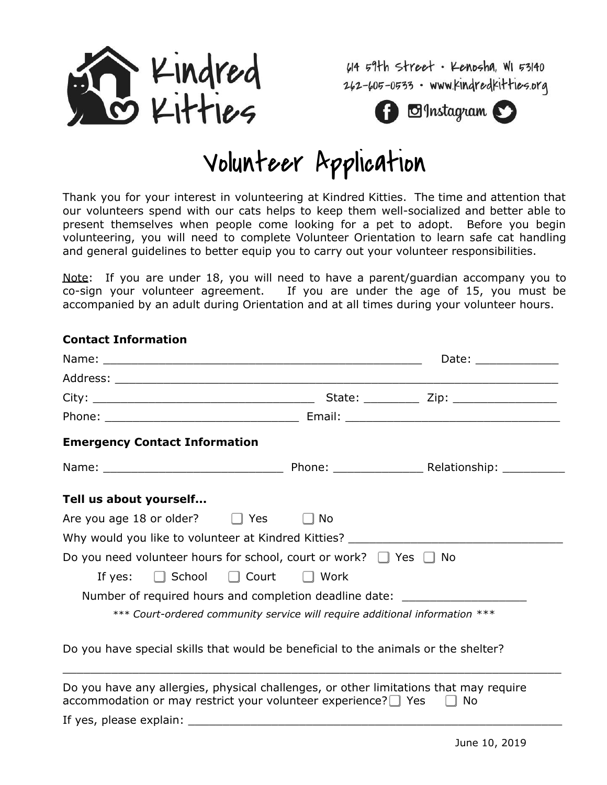

614 59th street · Kenosha, WI 53140 262-605-0533 · www.kindredkitties.org



## Volunteer Application

Thank you for your interest in volunteering at Kindred Kitties. The time and attention that our volunteers spend with our cats helps to keep them well-socialized and better able to present themselves when people come looking for a pet to adopt. Before you begin volunteering, you will need to complete Volunteer Orientation to learn safe cat handling and general guidelines to better equip you to carry out your volunteer responsibilities.

Note: If you are under 18, you will need to have a parent/guardian accompany you to co-sign your volunteer agreement. If you are under the age of 15, you must be accompanied by an adult during Orientation and at all times during your volunteer hours.

## Name: \_\_\_\_\_\_\_\_\_\_\_\_\_\_\_\_\_\_\_\_\_\_\_\_\_\_\_\_\_\_\_\_\_\_\_\_\_\_\_\_\_\_\_\_\_\_ Date: \_\_\_\_\_\_\_\_\_\_\_\_ Address: \_\_\_\_\_\_\_\_\_\_\_\_\_\_\_\_\_\_\_\_\_\_\_\_\_\_\_\_\_\_\_\_\_\_\_\_\_\_\_\_\_\_\_\_\_\_\_\_\_\_\_\_\_\_\_\_\_\_\_\_\_\_\_\_ City: \_\_\_\_\_\_\_\_\_\_\_\_\_\_\_\_\_\_\_\_\_\_\_\_\_\_\_\_\_\_\_\_ State: \_\_\_\_\_\_\_\_ Zip: \_\_\_\_\_\_\_\_\_\_\_\_\_\_\_ Phone: \_\_\_\_\_\_\_\_\_\_\_\_\_\_\_\_\_\_\_\_\_\_\_\_\_\_\_\_ Email: \_\_\_\_\_\_\_\_\_\_\_\_\_\_\_\_\_\_\_\_\_\_\_\_\_\_\_\_\_\_\_ **Emergency Contact Information** Name: Thone: Entertainment and the Phone: Thomas Relationship: **Tell us about yourself...** Are you age 18 or older?  $\Box$  Yes  $\Box$  No Why would you like to volunteer at Kindred Kitties? Do you need volunteer hours for school, court or work? □ Yes □ No If yes:  $\Box$  School  $\Box$  Court  $\Box$  Work Number of required hours and completion deadline date: \*\*\* *Court-ordered community service will require additional information \*\*\** Do you have special skills that would be beneficial to the animals or the shelter?

**Contact Information**

Do you have any allergies, physical challenges, or other limitations that may require accommodation or may restrict your volunteer experience? $\Box$  Yes  $\Box$  No

 $\_$  , and the set of the set of the set of the set of the set of the set of the set of the set of the set of the set of the set of the set of the set of the set of the set of the set of the set of the set of the set of th

If yes, please explain: